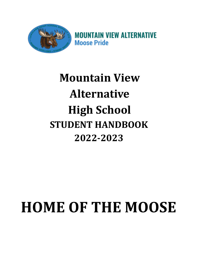

**MOUNTAIN VIEW ALTERNATIVE Moose Pride** 

# **Mountain View Alternative High School STUDENT HANDBOOK 2022-2023**

# **HOME OF THE MOOSE**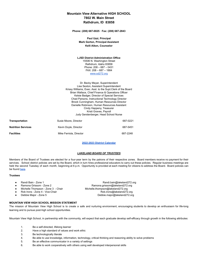|                           |                                         | <b>Mountain View Alternative HIGH SCHOOL</b>                                                          |  |
|---------------------------|-----------------------------------------|-------------------------------------------------------------------------------------------------------|--|
|                           |                                         | 7802 W. Main Street                                                                                   |  |
|                           |                                         | Rathdrum, ID 83858                                                                                    |  |
|                           |                                         | Phone: (208) 687-0025 · Fax: (208) 687-2843                                                           |  |
|                           |                                         | Paul Uzzi, Principal                                                                                  |  |
|                           | <b>Mark Gorton, Principal Assistant</b> |                                                                                                       |  |
|                           |                                         | Kelli Aiken, Counselor                                                                                |  |
|                           |                                         | <b>LJSD District Administration Office</b>                                                            |  |
|                           |                                         | 15506 N. Washington Street                                                                            |  |
|                           |                                         | Rathdrum, Idaho 83858                                                                                 |  |
|                           |                                         | Phone: $208 - 687 - 0431$<br>$FAX: 208 - 687 - 1884$                                                  |  |
|                           |                                         | www.sd272.org                                                                                         |  |
|                           |                                         |                                                                                                       |  |
|                           |                                         | Dr. Becky Meyer, Superintendent                                                                       |  |
|                           |                                         | Lisa Sexton, Assistant Superintendent<br>Krissy Williams, Exec. Asst. to the Supt. Clerk of the Board |  |
|                           |                                         | Brian Wallace, Chief Finance & Operations Officer                                                     |  |
|                           |                                         | Kelsie Badger, Director of Special Services                                                           |  |
|                           |                                         | Chad Parsons, Instructional Technology Director                                                       |  |
|                           |                                         | Brook Cunningham, Human Resources Director                                                            |  |
|                           |                                         | Danielle Robinson, Human Resources Assistant                                                          |  |
|                           |                                         | Cindy Happeny, Treasurer<br>Kristi Graves, Payroll                                                    |  |
|                           |                                         | Judy Gerstenberger, Head School Nurse                                                                 |  |
| <b>Transportation</b>     | Susie Moore, Director                   | 687-0221                                                                                              |  |
| <b>Nutrition Services</b> | Kevin Doyle, Director                   | 687-5451                                                                                              |  |

# **[2022-2023](https://resources.finalsite.net/images/v1649209229/lakeland272org/c3p2vbwpgnk0hgojunpb/2022-23CALENDARDRAFTBOARDAPPROVED-Sheet11.pdf) District Calendar**

# *LAKELAND BOARD OF TRUSTEES*

Members of the Board of Trustees are elected for a four-year term by the patrons of their respective zones. Board members receive no payment for their services. School district policies are set by the Board, which in turn hires professional educators to carry out these policies. Regular business meetings are held the second Tuesday of each month, beginning at 6 p.m. Opportunity is provided at each meeting for citizens to address the Board. Board policies can be found [here](https://www.sd272.org/school-board/policies).

# **Trustees**

- 
- 
- 
- 
- 

# **MOUNTAIN VIEW HIGH SCHOOL MISSION STATEMENT**

The mission of Mountain View High School is to create a safe and nurturing environment, encouraging students to develop an enthusiasm for life-long learning and to pursue post-high school opportunities.

Mountain View High School, in partnership with the community, will expect that each graduate develop self-efficacy through growth in the following attributes:

- 1. Be a self-directed, lifelong learner
- 2. Have a high standard of values and work ethic
- 3. Be technologically literate
- 4. Be able to use knowledge, information, technology, critical thinking and reasoning ability to solve problems
- 5. Be an effective communicator in a variety of settings
- 6. Be able to work cooperatively with others using well developed interpersonal skills

**Facilities** 687-2248

● Randi Bain - Zone 1 <br>■ Ramona Grissom - Zone 2 Ramona grissom@lakeland272.org<br>
Ramona grissom@lakeland272.org ● Ramona Grissom - Zone 2 Ramona.grissom@lakeland272.org<br>● Michelle Thompson - Zone 3 - Chair Michelle.thompson@lakeland272.org Michelle.thompson@lakeland272.org Rob Irons - Zone 4 - Vice-Chair Rob.irons@lakeland272.org ● Debbie Major - Zone 5 [Debbie.major@lakeland272.org](mailto:Debbie.major@lakeland272.org)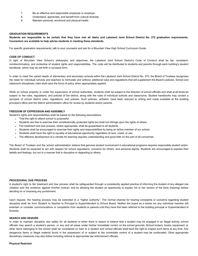- 7. Be an effective and responsible employee or employer
- 8. Understand, appreciate, and benefit from cultural diversity
- 9. Maintain personal, emotional and physical health

# **GRADUATION REQUIREMENTS**

Students are responsible to be certain that they have met all Idaho and Lakeland Joint School District No. 272 graduation requirements. **Counselors are available to help advise students in meeting these standards.**

For specific graduation requirements, talk to your counselor and ask for a Mountain View High School Curriculum Guide.

#### **CODE OF CONDUCT**

In light of Mountain View School's philosophy and objectives, the Lakeland Joint School District's Code of Conduct shall be fair, consistent, nondiscriminatory, and protective of student rights and responsibilities. The code will be distributed to students and parents through each building's student handbook, which may be set forth in synopsis form.

In order to meet the varied needs of elementary and secondary schools within the Lakeland Joint School District No. 272, the Board of Trustees recognizes the need for individual schools and teachers to formulate and enforce additional rules and regulations that will supplement the Board's policies. School and classroom disciplinary rules shall have the force of policy when appropriately applied.

While on school property or under the supervision of school authorities, students shall be subject to the direction of school officials and shall at all times be subject to the rules, regulations, and policies of the district, along with the rules of individual schools and classrooms. Student handbooks may contain a synopsis of school district rules, regulations, and policies. Such policies, verbatim, have been reduced to writing and made available at the building principal's office and the district administration office for review by students and/or parents.

# **FREEDOM OF EXPRESSION AND ASSEMBLY**

Student's rights and responsibilities shall be based on the following assumptions:

- That the right to attend school is purposeful.
- Students are free to exercise their constitutionally protected rights but shall not infringe upon the rights of others.
- Fair treatment and due process, where appropriate, shall be guaranteed to all students.
- Students shall be encouraged to exercise their rights and responsibilities by being an active member of our school.
- Students shall have the right to equality of educational opportunity regardless of race, creed, or sex.
- The effective development of a climate for learning requires understanding and good faith on the part of all concerned.

The Board of Trustees and the school administration believe that genuine student involvement in educational programs requires responsible student action. Students shall be expected to act with respect for school regulations, concerns for others, and personal dignity. Students are encouraged to express their beliefs and feelings, but not in a manner that is disruptive or degrading to others.

#### **PROCEDURAL DUE PROCESS**

A student's right to fair treatment and due process shall be safeguarded through a consistently applied practice of informing the student of any alleged rule violation and the evidence against him/her (notice), and by allowing the student an opportunity to explain his or her version of the facts (hearing) before deciding on or imposing any punishment.

Upon request, the hearing process may be extended to a "higher authority". The normal channel for hearing complaints or concerns regarding student discipline shall be from Student to Teacher to Principal to Superintendent to School Board. Neither the board as a whole nor any individual member will entertain or consider communications or complaints from students or parents until they have first been referred to the building principal or Superintendent of Schools.

# **SEARCH AND SEIZURE**

In order to maintain discipline and safety for all students or when there is reason to believe that a student may be engaged in an illegal activity, school officials may search a student's person, or any and all areas under his/her immediate control on the school grounds. School lockers, books, equipment, or other items belonging to the school shall be considered on loan to a student and school officials shall have the right to inspect such items at any time. Any dangerous items or illegal material found in the possession of or subject to the immediate control of a student may be confiscated. Other appropriate disciplinary measures may also follow including referral to appropriate law enforcement officials.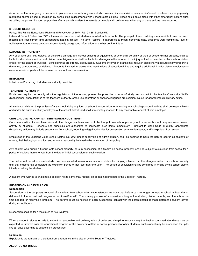As a part of the emergency procedures in place in our schools, any student who poses an imminent risk of injury to him/herself or others may be physically restrained and/or placed in seclusion by school staff in accordance with School Board policies. These could occur along with other emergency actions such as calling the police. As soon as possible after any such incident the parents or guardian will be informed when any of these actions have occurred.

## **STUDENT RECORDS**

Policy: The Family Educational Rights and Privacy Act of 1974, P.L. 93-38, Section 513.

Lakeland School District No. 272 will maintain records on all students enrolled in its schools. The principal of each building is responsible to see that such records are kept current and safeguarded against misuse. The term "Record" is interpreted to mean identifying data, academic work completed, level of achievement, attendance data, test scores, family background information, and other pertinent data.

#### **DAMAGE TO PROPERTY**

Any pupil who shall cut, deface, or otherwise damage any school building or equipment, or who shall be guilty of theft of school district property, shall be liable for disciplinary action, and his/her parents/guardians shall be liable for damages in the amount of the injury or theft to be collected by a school district official for the Board of Trustees. School pranks are strongly discouraged. Students involved in pranks may result in disciplinary measures if any property is damaged, compromised, or defaced. Students involved in pranks that result in loss of educational time and require additional time for district employees to clean or repair property will be required to pay for loss compensation.

# **INITIATIONS**

Initiation and/or hazing of students are strictly prohibited.

# **TEACHERS' AUTHORITY**

Pupils are required to comply with the regulations of the school, pursue the prescribed course of study, and submit to the teachers' authority. Willful disobedience, open defiance of the teachers' authority, or the use of profane or obscene language are sufficient cause for appropriate disciplinary action.

All students, while on the premises of any school, riding any form of school transportation, or attending any school-sponsored activity, shall be responsible to and under the authority of any employee of the school district, and shall immediately respond to any reasonable request of said employee.

#### **UNUSUAL DISCIPLINARY MATTERS (DANGEROUS ITEMS)**

Guns, ammunition, knives, fireworks and other dangerous items are not to be brought onto school property, onto a school bus or to any school-sponsored activity by students. Teachers and principals are authorized to confiscate such items immediately. Pursuant to Idaho Code 18-33012, appropriate disciplinary action may include suspension from school, reporting to legal authorities for prosecution as a misdemeanor, and/or expulsion from school.

Employees of the Lakeland Joint School District No. 272, under supervision of administration, shall be deemed to have the right to search all students or minors, their belongings, and lockers, who are reasonably believed to be in violation of this policy.

Any student who brings a firearm onto school property, or is in possession of a firearm on school property, shall be subject to expulsion from school for a period of not less than one year from the date of initial suspension for such violation.

The district will not admit a student who has been expelled from another school or district for bringing a firearm or other dangerous item onto school property until that student has completed the expulsion period of not less than one year. The period of expulsion shall be confirmed in writing by the school district initially expelling the student.

A student who wishes to challenge a decision not to admit may request an appeal hearing before the Board of Trustees.

# **SUSPENSION AND EXPULSION**

#### **Suspension**

Suspension is the temporary removal of a student from school when circumstances are such that he/she can no longer be kept in school without risk or detriment to the educational program or to himself/herself. The primary purpose of suspension is to give the student, his/her parents, and the school the time needed for resolving a problem. The parents must be notified of each suspension; contact with the parent should be made before the student leaves during school hours.

Suspension shall be for a maximum of five (5) days.

When a student refuses or fails to submit to reasonable and ordinary rules of order and discipline in such a way that his/her continued attendance may be expected to interfere with the educational program or the safety or welfare of school personnel or other students, such student may be suspended for up to five (5) days according to suspension procedures.

#### **Expulsion**

Expulsion is the removal of a student from attendance in the district by the Board of Trustees.

#### **ALCOHOL and DRUGS**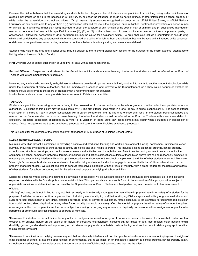Because the district believes that the use of drugs and alcohol is both illegal and harmful, students are prohibited from drinking, being under the influence of alcoholic beverages or being in the possession of, delivery of, or under the influence of drugs as herein defined, or other intoxicants on school property or while under the supervision of school authorities. "Drug" means (1) substances recognized as drugs in the official United States, or official National Formulary, or any supplement to any of them ; (2) substances intended for use in the diagnosis, cure, mitigation, treatment or prevention of disease in man or animals; (3) substances (other than food) intended to affect the structure of any function of the body of man or animals; and (4) substances intended for use as a component of any article specified in clause (1), (2), or (3) of this subsection. It does not include devices or their components, parts, or accessories. (However, possession of drug paraphernalia may be cause for disciplinary action.) A drug shall also include a counterfeit or pseudo drug which shall be defined as any substance which, or the contained or labeling of which, without authorization, bears a likeness and is intended by its possessor or deliverer or recipient to represent a drug whether or not the substance is actually a drug as herein above defined.

Students who violate the drug and alcohol policy may be subject to the following disciplinary actions for the duration of the entire students' attendance of K-12 grades at Lakeland School District:

**First Offense:** Out-of-school suspension of up to five (5) days with a parent conference.

**Second Offense:** Suspension and referral to the Superintendent for a show cause hearing of whether the student should be referred to the Board of Trustees with a recommendation for expulsion.

However, any student who knowingly sells, delivers or otherwise provides drugs, as herein defined, or other intoxicants to another student at school, or while under the supervision of school authorities, shall be immediately suspended and referred to the Superintendent for a show cause hearing of whether the student should be referred to the Board of Trustees with a recommendation for expulsion. In all substance abuse cases, the appropriate law enforcement officials may be notified.

#### **TOBACCO**

Students are prohibited from using tobacco or being in the possession of tobacco products on the school grounds or while under the supervision of school authorities. Violations of this policy may be punishable by (1) The first offense shall result in a one (1) day in-school suspension; (2) The second offense shall result in a three (3) day in-school suspension with a parent conference; and (3) The third offense shall result in the student being suspended and referred to the Superintendent for a show cause hearing of whether the student should be referred to the Board of Trustees with a recommendation for expulsion. Because possession of tobacco by a minor is in violation of Idaho State law, police contact may occur when a student is in possession of tobacco. (Note: "e-cigarettes are treated as tobacco products and carry the same discipline as tobacco products.)

This is in effect for the duration of the entire students' attendance of K-12 grades at Lakeland School District.

# **HARASSMENT/HAZING/BULLYING**

Mountain View High School is committed to providing a positive and productive learning and working environment. Hazing, harassment, intimidation, cyber bullying, or bullying by students or third parties is strictly prohibited and shall not be tolerated. This includes actions on school grounds, school property, school buses, at school bus stops, at school sponsored events and activities, and through the use of electronic technology or electronic communication equipment on school computers, networks, forums, or mailing lists and actions at locations outside of those listed above that can be reasonably expected to materially and substantially interfere with or disrupt the educational environment of the school or impinge on the rights of other students at school. Mountain View High School expects all students to treat each other with civility and respect and not to engage in behavior that is harmful to another student or the property of another student. We expect students to conduct themselves in keeping with their level of maturity, with a proper regard for the rights and welfare of other students, for school personnel, and for the educational purpose underlying all school activities.

Discipline: Students whose behavior is found to be in violation of this policy will be subject to discipline and graduated consequences, up to and including expulsion consistent with the Board's policy on student discipline. Third parties whose behavior is found to be in violation of this policy shall be subject to appropriate sanctions as determined and imposed by the Superintendent or Board. Students or third parties may also be referred to law enforcement officials.

"Hazing" includes, but is not limited to, any act that recklessly or intentionally endangers the mental health, physical health, or safety of a student for the purpose of initiation or as a condition or precondition of attaining membership in, or affiliation with, any District- sponsored activity or grade level attainment, such as forced consumption of any drink, alcoholic beverage, drug, or controlled substance, forced exposure to the elements, forced prolonged exclusion from social contact, sleep deprivation or any other forced activity that could adversely affect the mental or physical health or safety of a student; requires, encourages, authorizes, or permits another to be subject to wearing or carrying any obscene or physically burdensome article, assignment of pranks to be performed or other such activities intended to degrade or humiliate.

"Harassment" includes, but is not limited to, any act which subjects an individual or group to unwanted, abusive behavior of a nonverbal, verbal, written, electronic, or physical nature on the basis of an actual or perceived characteristic, including but not limited to age, race, religion, color, national origin, disability, gender, gender identity and expression, sexual orientation, physical characteristic, cultural background, socioeconomic status, geographic location, familial status, or weight.

"Harassment, intimidation, or bullying" means any act that substantially interferes with or disrupts the educational environment or impinges on the rights of other students at school, a student's opportunities or performance, that takes place on or immediately adjacent to school grounds, school property, at any school-sponsored activity, on school-provided transportation or at any official school bus stop, and that has the effect of: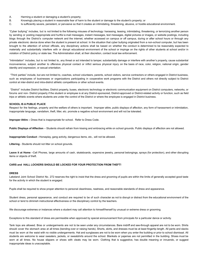- A. Harming a student or damaging a student's property;
- B. Knowingly placing a student in reasonable fear of harm to the student or damage to the student's property; or
- C. Is sufficiently severe, persistent, or pervasive so that it creates an intimidating, threatening, abusive, or hostile educational environment.

"Cyber bullying" includes, but is not limited to the following misuses of technology: harassing, teasing, intimidating, threatening, or terrorizing another person by sending or posting inappropriate and hurtful e-mail messages, instant messages, text messages, digital pictures or images, or website postings, including blogs through the District's computer network and the internet, whether accessed on campus or off campus, during or after school hours or through any private electronic device done when the student is present at school. In the situation that cyber bullying originated from a non-school computer, but has been brought to the attention of school officials, any disciplinary actions shall be based on whether the conduct is determined to be reasonably expected to materially and substantially interfere with or disrupt educational environment of the school or impinge on the rights of other students at school and/or in violation of District policy or state law. The Administration shall, at their discretion, contact local law enforcement.

"Intimidation" includes, but is not limited to, any threat or act intended to tamper, substantially damage or interfere with another's property, cause substantial inconvenience, subject another to offensive physical contact or inflict serious physical injury on the basis of race, color, religion, national origin, gender identity and expression, or sexual orientation.

"Third parties" include, but are not limited to, coaches, school volunteers, parents, school visitors, service contractors or others engaged in District business, such as employees of businesses or organizations participating in cooperative work programs with the District and others not directly subject to District control at inter-district and intra-district athletic competitions or other school events.

"District" includes District facilities, District property, buses, electronic technology or electronic communication equipment on District computers, networks, or forums and non- District property if the student or employee is at any District-sponsored, District-approved or District-related activity or function, such as field trips or athletic events where students are under the control of the District or where the employee is engaged in District business.

#### **SCHOOL IS A PUBLIC PLACE**

Respect for the feelings, property and the welfare of others is important. Improper attire, public displays of affection, any form of harassment or intimidation, inappropriate language, vandalism, theft, litter, etc. promote a negative school environment and will not be tolerated.

**Improper Attire –** Dress that is inappropriate for school. Refer to Dress Code.

**Public Displays of Affection** – Students should refrain from kissing and embracing while on school grounds. Public displays of affection are not allowed.

**Inappropriate Conduct -** Horseplay, gang activity, dangerous items, etc., will not be allowed.

**Littering** - Students should not litter on school grounds.

**Leave it at Home** –Cell Phones, large amounts of cash, skateboards, expensive jewelry, personal belongings, sprays (for protection), and other disrupting items or objects of theft.

# **CARS and HALL LOCKERS SHOULD BE LOCKED FOR YOUR PROTECTION FROM THEFT!**

# **DRESS**

Lakeland Joint School District No. 272 reserves the right to insist that the dress and grooming of pupils are within the limits of generally accepted good taste for the activity in which the student is engaged.

Pupils shall be required to show proper attention to personal cleanliness, neatness, and reasonable standards of dress and appearance.

Student dress, personal appearance, and conduct are required to be of such character as not to disrupt or distract from the educational environment of the school or tend to diminish instructional effectiveness or the disciplinary control by the teachers.

We discourage extremes or instances where a student may call attention to himself/herself by unusual or extreme dress or grooming.

Exceptions to this standard of dress are permissible when approved by special announcement from principals for a particular dance or activity.

Tank tops are allowed. Bras or undergarments are not to be seen under any circumstances. Bare midriff and see-through apparel are not to be worn. Shirts should cover the stomach area at all times (bending over or raising hands). Shorts, skirts, and dresses must be at least fingertip length. All pants and slacks must be worn at the waist with no visible undergarments. Hat and sunglasses are not to be worn when you enter the building or prior to school dismissal. All students are welcome to wear sweaters, jackets, or sweatshirts around the school. Blankets or pajamas are not permitted in the building. Shoes must be worn at all times. No house slippers or shoes with cleats may be worn. Clothing that is suggestive, has double meaning or innuendo, or suggest inappropriate ideas is unacceptable.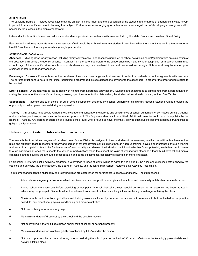# **ATTENDANCE**

The Lakeland Board of Trustees recognizes that time on task is highly important to the education of the students and that regular attendance in class is very important to a student's success in learning that subject. Furthermore, encouraging good attendance is an integral part of developing a strong work ethic necessary for success in the employment world.

Lakeland schools will implement and administer attendance policies in accordance with rules set forth by the Idaho Statute and Lakeland Board Policy.

Each school shall keep accurate attendance records. Credit could be withheld from any student in a subject when the student was not in attendance for at least 90% of the time that subject was being taught per quarter.

#### **ATTENDANCE (Definitions)**

**Absences** – Missing class for any reason including family convenience. For absences unrelated to school activities a parent/guardian with an explanation of the absence shall verify a student's absence. Contact from the parent/guardian to the school should be made by note, telephone, or in person within three school days of the student's return to school or such absences may be considered truant and processed accordingly. School work may be made up for credit either before or after any absence..

**Prearranged Excuse** - If students expect to be absent, they must prearrange such absence(s) in order to coordinate school assignments with teachers. The parents must send a note to the office requesting a prearranged excuse at least one day prior to the absence(s) in order for the prearranged excuse to be granted.

Late to School - A student who is late to class with no note from a parent is tardy/absent. Students are encouraged to bring a note from a parent/guardian stating the reason for the student's tardiness; however, upon the student's third late arrival, the student will receive disciplinary action. See Tardies.

**Suspensions** – Absence due to in school or out of school suspension assigned by a school authority for disciplinary reasons. Students will be provided the opportunity to make up work missed during a suspension.

**Truancy** – An absence that occurs without the knowledge and consent of the parents and concurrence of school authorities. Work missed during a truancy and any subsequent suspension may not be made up for credit. The Superintendent shall be notified. Additional truancies could result in expulsion by the Board of Trustees. Any parent or guardian of a public school pupil who is found to have knowingly allowed such pupil to become a habitual truant shall be guilty of a misdemeanor.

# **Philosophy and Code for Interscholastic Activities**

The interscholastic activities program of Lakeland Joint School District is designed to involve students in wholesome, healthy competition; teach respect for rules and authority; teach respect for property and person of others; develop self-discipline through rigorous training; develop sportsmanship through winning and losing in competition; teach the fundamentals of each activity and develop the individual participant to his/her fullest potential; teach democratic values through participation; teach the students the values of participation; teach the student the value of working with others as a team: build physical and mental capacities; and to develop the attributes of cooperation and social adjustments, especially stressing high moral character.

Participation in interscholastic activities programs is a privilege to those students willing to agree to and abide by the rules and guidelines established by the coaches and advisors, the administration, the Board of Trustees, and the Idaho High School Interscholastic Activities Association.

To implement and teach the philosophy, the following rules are established for participants to observe and follow. The student shall:

- 1. Attend classes regularly, strive for academic achievement, and set positive examples in the school and community with his/her personal conduct.
- 2. Attend school the entire day before practicing or competing interscholastically unless special permission for an absence has been granted in advance by the principal. Students will not be released from class to attend an activity if they are failing or in danger of failing the class.
- 3. Conform with the instructions, guidelines and training rules established by the coach or advisor with reference to but not limited to the practice schedule, equipment use, physical conditioning and practice activities.
- 4. Not use profanity or obscene language.
- 5. Maintain standards of dress set by the school and the coach or advisor.
- 6. Not be involved in the willful destruction and/or theft of school or personal property.
- 7. Maintain standards of scholastic eligibility established by IHSAA and/or the school.
- 8. Not use or possess illegal drugs, alcohol, or tobacco during the school year as outlined in "A" under definitions or be knowingly present while such activity is taking place.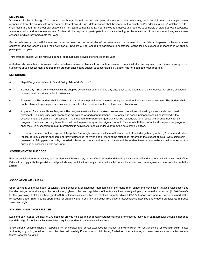# **DISCIPLINE:**

Violations of rules 1 through 7 or conduct that brings discredit to the participant, the school, or the community, could result in temporary or permanent suspension from the activity with a subsequent loss of award. Such determination shall be made by the coach and/or administration. A violation of rule 8 shall result in a ten (10) school day suspension from team competitions (will be allowed to practice) and required to complete at state approved substance abuse education and awareness course. Student will be required to participate in substance testing for the remainder of the season and any subsequent seasons in which they participate that year.

Second offense; student will be removed from the team for the remainder of the season and be required to complete an in-person substance abuse education and awareness course (see definition d). Student will be required to participate in substance testing for any subsequent seasons in which they participate that year.

Third offense; student will be removed from all extracurricular activities for one calendar year.

A student who voluntarily discusses his/her substance abuse problem with a coach, counselor, or administrator, and agrees to participate in an approved substance abuse assessment and treatment program shall not be subject to suspension if a violation has not been otherwise reported.

# **DEFINITIONS:**

- a. Illegal Drugs as defined in Board Policy, Article VI, Section F.
- b. School Day Shall be any day within the adopted school year calendar plus any days prior to the opening of the school year which are allowed for interscholastic activities under IHSAA rules
- c. Suspension The student shall be allowed to participate in practices or contests during suspension time after the first offense. The student shall not be allowed to participate in practices or contests after the second or third offense as outlined above.
- d. Approved Substance Abuse Program The program must involve an intake or assessment procedure followed by appropriately prescribed treatment. This may vary from "awareness education" to "addiction treatment". The family and school personnel should be involved in the assessment, and treatment if prescribed. The student and his parent or guardian shall be responsible for all costs and arrangements for the program. Students choosing this option shall, with a parent or guardian, sign a contract. Failure to fulfill the contract and complete the program shall result in suspension from all interscholastic activities for one calendar year from the date of the violation.
- e. Knowingly Present: for the purpose of this policy, "knowingly present" shall mean that a student attended a gathering of two (2) or more individuals (except religious church sponsored or family gatherings) at which one or more of the attendees (other than the student at issue) were using or in possession of drug paraphernalia, controlled substances, drugs, or alcohol or tobacco and the student knew or reasonably should have known that such use or possession was occurring.

# **COMMITMENT TO THE CODE**

Prior to participation in an activity, each student shall have a copy of this "Code" signed and dated by himself/herself and a parent on file in the school office. Failure to comply with this provision shall preclude any participation in any activity until such time as the student and parent/guardian have complied with this section.

# **ASSOCIATION WITH IHSAA**

Upon payment of annual dues, Lakeland Joint School District assumes membership in the Idaho High School Interscholastic Activities Association and thereby recognizes and accepts the constitution, bylaws, rules, and regulations of the Association currently adopted, or thereafter amended (IHSAA "rules"), for the governing of all high school (grades 9-12) interscholastic activities for Lakeland Schools, which IHSAA "rules" are incorporated herein as a part of this Philosophy/Code. Said rules as appropriate for grades 7 and 8 shall by this policy also govern interscholastic activities and student participants in grades seven and eight.

# **ATHLETIC INSURANCE RELEASE**

Lakeland Joint School District No. 272 does not provide medical and/or dental insurance coverage for students involved in extracurricular activities, nor does the Idaho High School Activities Association require a student to have athletic insurance.

Since parents assume financial responsibility for medical and dental expenses for injuries to their children for regular school or extracurricular related accidents, any policy obtained should be checked carefully if you have a child playing football or other activities, as many insurance companies exclude football or other activities.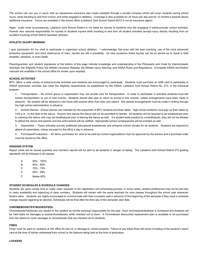The school can put you in touch with an inexpensive insurance plan made available through a private company which will cover students during school hours, while traveling to and from school, and while engaged in athletics. Coverage is also available for 24 hours per day and for 12 months if parents desire additional insurance. Forms are available in the school office (Lakeland Joint School District #272 is not an insurance agent).

Again, under most circumstances, Lakeland Joint School District is not liable for injuries to students who are engaging in extracurricular school activities. Parents also assume responsibility for injuries to students injured while traveling to and from all student activities (except injury directly resulting from an accident involving school district operated vehicles).

# **ATHLETIC INJURY WARNING**

I give permission for my child to participate in organized school athletics. I acknowledge that even with the best coaching, use of the most advanced protective equipment, and strict observance of rules, injuries are still a possibility. On rare occasions these injuries can be so severe as to result in total disability, paralysis, or even death.

Parent/guardian and student signatures at the bottom of this page indicate knowledge and understanding of the Philosophy and Code for Interscholastic Activities, the Eligibility Policy, the Athletic Insurance Release, the Athletic Injury Warning, and IHSAA Rules and Regulations. (Complete IHSAA and District manuals are available in the school office for review upon request).

#### **SCHOOL ACTIVITIES**

MTV offers a wide variety of extracurricular activities and students are encouraged to participate. Students must purchase an ASB card to participate in IHSAA sponsored activities and meet the eligibility requirements as established by the IHSAA, Lakeland Joint School District No. 272, or the individual program.

1. Transportation – No school group or organization may use private cars for transportation. In order to participate in activities students must ride school transportation to out of town events. Students should also plan to return to school in this manner, unless arrangements have been made in advance. No student will be allowed to ride home with anyone other than their own parent. Any special arrangements must be made in writing through the high school administration in advance.

2. School Dances - School dances are intended for the enjoyment of MTV students and their dates. High school students must sign up their dates by 3:00 p.m. on the date of the dance. Anyone who leaves the dance will not be permitted to reenter. All students will be required to be breathalyzed prior to entering the dance and may be breathalyzed prior to leaving the dance as well. If a student tests positive by a breathalyzer, they will not be allowed to attend the dance and parents and law enforcement will be notified. Appropriate school consequences will be enacted as well.

3. Assemblies – These activities provide additional educational experiences and enhance school climate for all students. Students are required to attend all assemblies, unless excused by the office a day in advance.

4. Purchases/Fundraisers – All items purchased for (and to be paid by) school organizations must be approved by the advisor and a purchase order must be issued by the office.

# **GRADING SYSTEM**

Report cards will be issued quarterly and mid-term reports will be sent to all students in danger of failing. The Lakeland Joint School District 272 grading standards will be followed in all classes.

| A | $90\% - 100\%$ |
|---|----------------|
| B | 80% - 89%      |
| C | 70% - 79%      |
| D | 60% - 69%      |
| F | Below 60%      |

# **STUDENT SCHEDULES & SCHEDULE CHANGES:**

Students are given ample time to make class requests in the registration and scheduling process. In some cases, student preferences may not be met due to class availability and balancing of class numbers. Students will remain with the same teachers for core classes throughout the school year whenever factors allow. Students are highly encouraged to communicate with their counselor well in advance of the beginning of the semester if they have a schedule change request regarding an elective. Schedules will be final after the third day of the semester start date.

#### **CHROMEBOOK/TEXTBOOKS/FEES**

Chromebooks/Textbooks are issued to the student as his/her personal responsibility for the year. Each chromebook/textbook is numbered and students will be held liable for damages to books/chromebooks while checked out to them. A Chromebook discounted replacement plan is available to be purchased from the district to cover damages to chromebooks that are checked out to students.

#### **FINES**

Fines must be paid by students at the office for loss of, or damage to, school property. Failure to pay these fines will result in holding of the student's report card at the time of his/her withdrawal from school or the diploma being held at the time of graduation.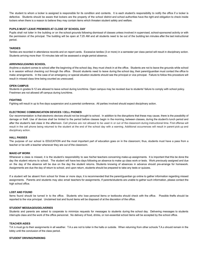The student to whom a locker is assigned is responsible for its condition and contents. It is each student's responsibility to notify the office if a locker is defective. Students should be aware that lockers are the property of the school district and school authorities have the right and obligation to check inside lockers when there is a reason to believe they may contain items which threaten student safety and welfare.

#### **PUPILS MUST LEAVE PREMISES AT CLOSE OF SCHOOL DAY**

Pupils shall not loiter in the building or on the school grounds following dismissal of classes unless involved in supervised, school-sponsored activity or with the permission of the principal. The building will be open at 7:25 AM and all students need to be out of the building ten minutes after the last instructional period.

#### **TARDIES**

Tardies are recorded in attendance records and on report cards. Excessive tardies (3 or more) in a semester per class period will result in disciplinary action. Students arriving more than 15 minutes late will be assessed a single period absence.

# **ARRIVING/LEAVING SCHOOL**

Anytime a student comes to school after the beginning of the school day, they must check in at the office. Students are not to leave the grounds while school is in session without checking out through the office. Should students need to leave during the school day, their parent/guardian must contact the office to make arrangements. In the case of an emergency or special situation students should see the principal or vice principal. Failure to follow this procedure will result in missed class time being counted as unexcused.

#### **OPEN CAMPUS**

Students in grades 9-12 are allowed to leave school during lunchtime. Open campus may be revoked due to students' failure to comply with school policy. Freshmen are not allowed off campus during lunchtime.

# **FIGHTING**

Fighting will result in up to five days suspension and a parental conference. All parties involved should expect disciplinary action.

# **ELECTRONIC COMMUNICATION DEVICES / CELL PHONES**

Our recommendation is that electronic devices should not be brought to school. In addition to the disruptions that these may cause, there is the possibility of damage or theft. Use of devices shall be limited to the period before classes begin in the morning, between classes, during the student's lunch period and after the student's last class in the afternoon. Cell phones are not allowed to be used in or out of the classroom during instructional time. First offense will result in the cell phone being returned to the student at the end of the school day with a warning. Additional occurrences will result in parent pick up and disciplinary action.

#### **HALL PASSES**

The purpose of our school is EDUCATION and the most important part of education goes on in the classroom; thus, students must have a pass from a teacher or be with a teacher whenever they are out of the classroom.

# **MAKE-UP WORK**

Whenever a class is missed, it is the student's responsibility to see his/her teachers concerning make-up assignments. It is important that this be done the day the student returns to school. The student will have two days following an absence to make up class work or tests. Work previously assigned and due on the day of the absence will be due on the day the student returns. Students knowing of absences in advance should pre-arrange for homework. Assignments are due the day of return to school, and upon return, students should be prepared to take any tests or quizzes.

If a student will be absent from school for three or more days, it is recommended that the parent/guardian go online to gather information regarding missed assignments. Parents and students may also email teachers for assignments. If parents/students are unable to gather such information, please contact the high school office.

# **LOST AND FOUND**

Items found should be turned in to the office. Students who lose personal items or textbooks should check with the office. Possible thefts should be reported to the vice principal. Unclaimed lost and found items will be disposed of at the discretion of the office.

# **STUDENT MESSAGES/DELIVERIES**

Students and parents are asked to cooperate to minimize requests for messages to students during the school day. Delivering messages to students interrupts class and the work of the office personnel. No delivery of food, drinks, or non-essential school items will be accepted by the school office.

# **TEACHER AIDES**

T.A.'s must go to their assignments in all weather. T.A.s are not to loiter in the halls or outside. When returning from other schools T.A.s should remain in the lobby until the conclusion of the class period.

#### **STUDENT DRIVING/PARKING**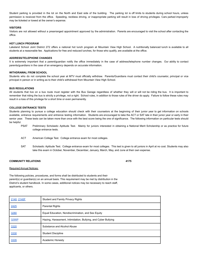Student parking is provided in the lot on the North and East side of the building. The parking lot is off limits to students during school hours, unless permission is received from the office. Speeding, reckless driving, or inappropriate parking will result in loss of driving privileges. Cars parked improperly may be ticketed or towed at the owner's expense.

#### **VISITORS**

Visitors are not allowed without a prearranged appointment approved by the administration. Parents are encouraged to visit the school after contacting the office.

#### **HOT LUNCH PROGRAM**

Lakeland School Joint District 272 offers a national hot lunch program at Mountain View High School. A nutritionally balanced lunch is available to all students at a reasonable fee. Applications for free and reduced lunches, for those who qualify, are available at the office.

#### **ADDRESS/TELEPHONE CHANGES**

It is extremely important that a parent/guardian notify the office immediately in the case of address/telephone number changes. Our ability to contact parents/guardians in the case of an emergency depends on accurate information.

# **WITHDRAWAL FROM SCHOOL**

Students who do not complete the school year at MTV must officially withdraw. Parents/Guardians must contact their child's counselor, principal or vice principal in person or in writing as to their child's withdrawal from Mountain View High School.

#### **BUS REGULATIONS**

All students that live on a bus route must register with the Bus Garage regardless of whether they will or will not be riding the bus. It is important to remember that riding the bus is strictly a privilege, not a right. School rules, in addition to those rules of the driver do apply. Failure to follow these rules may result in a loss of this privilege for a short time or even permanently.

#### **COLLEGE ENTRANCE TESTS**

Students planning to pursue a college education should check with their counselors at the beginning of their junior year to get information on schools available, entrance requirements and entrance testing information. Students are encouraged to take the ACT or SAT late in their junior year or early in their senior year. These tests can be taken more than once with the best score being the one of significance. The following information on particular tests should be helpful.

- PSAT Preliminary Scholastic Aptitude Test. Mainly for juniors interested in obtaining a National Merit Scholarship or as practice for future college entrance tests.
- ACT American College Test. College entrance exam for most colleges.
- SAT Scholastic Aptitude Test. College entrance exam for most colleges. This test is given to all juniors in April at no cost. Students may also take this exam in October, November, December, January, March, May, and June at their own expense.

# **COMMUNITY RELATIONS 4175**

#### Required Annual Notices:

The following policies, procedures, and forms shall be distributed to students and their parent(s) or guardian(s) on an annual basis. This requirement may be met by distribution in the District's student handbook. In some cases, additional notices may be necessary to reach staff, applicants, or others.

| 2140, 2140F | <b>Student and Family Privacy Rights</b>                       |
|-------------|----------------------------------------------------------------|
| 2425        | <b>Parental Rights</b>                                         |
| 3280        | Equal Education, Nondiscrimination, and Sex Equity             |
| 3295P       | Hazing, Harassment, Intimidation, Bullying, and Cyber Bullying |
| 3320        | Substance and Alcohol Abuse                                    |
| 3330        | <b>Student Discipline</b>                                      |
| 3335        | Academic Honesty                                               |